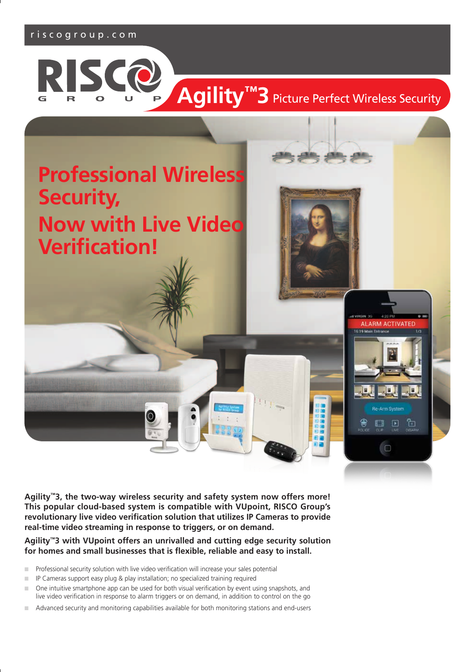## riscogroup.com



# Agility<sup>™</sup>3 Picture Perfect Wireless Security



**Agility™3, the two-way wireless security and safety system now offers more! This popular cloud-based system is compatible with VUpoint, RISCO Group's revolutionary live video verification solution that utilizes IP Cameras to provide real-time video streaming in response to triggers, or on demand.** 

**Agility™3 with VUpoint offers an unrivalled and cutting edge security solution for homes and small businesses that is flexible, reliable and easy to install.** 

- n Professional security solution with live video verification will increase your sales potential
- **n** IP Cameras support easy plug & play installation; no specialized training required
- n One intuitive smartphone app can be used for both visual verification by event using snapshots, and live video verification in response to alarm triggers or on demand, in addition to control on the go
- n Advanced security and monitoring capabilities available for both monitoring stations and end-users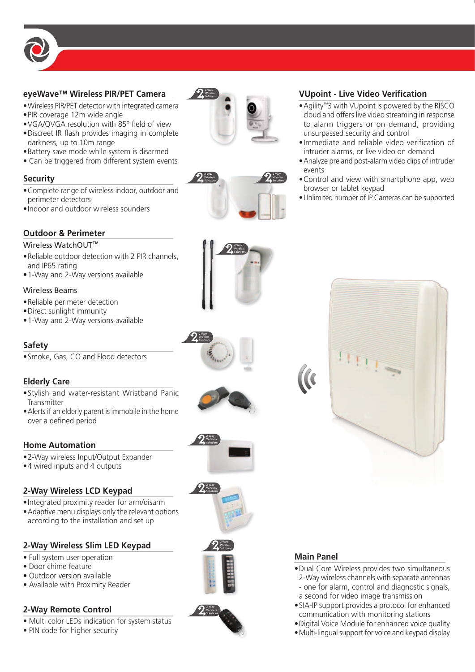

## **eyeWave™ Wireless PIR/PET Camera**

- •Wireless PIR/PET detector with integrated camera
- •PIR coverage 12m wide angle
- •VGA/QVGA resolution with 85° field of view •Discreet IR flash provides imaging in complete
- darkness, up to 10m range
- •Battery save mode while system is disarmed
- Can be triggered from different system events

## **Security**

- •Complete range of wireless indoor, outdoor and perimeter detectors
- •Indoor and outdoor wireless sounders

# **Outdoor & Perimeter**

## Wireless WatchOUT<sup>™</sup>

- •Reliable outdoor detection with 2 PIR channels, and IP65 rating
- •1-Way and 2-Way versions available

## Wireless Beams

- •Reliable perimeter detection
- •Direct sunlight immunity
- •1-Way and 2-Way versions available

# **Safety**

•Smoke, Gas, CO and Flood detectors

# **Elderly Care**

- •Stylish and water-resistant Wristband Panic **Transmitter**
- •Alerts if an elderly parent is immobile in the home over a defined period

# **Home Automation**

- •2-Way wireless Input/Output Expander
- •4 wired inputs and 4 outputs

# **2-Way Wireless LCD Keypad**

- •Integrated proximity reader for arm/disarm
- •Adaptive menu displays only the relevant options according to the installation and set up

# **2-Way Wireless Slim LED Keypad**

- Full system user operation
- Door chime feature
- Outdoor version available
- Available with Proximity Reader

# **2-Way Remote Control**

- Multi color LEDs indication for system status
- PIN code for higher security





## **VUpoint - Live Video Verification**

- •Agility™3 with VUpoint is powered by the RISCO cloud and offers live video streaming in response to alarm triggers or on demand, providing unsurpassed security and control
- •Immediate and reliable video verification of intruder alarms, or live video on demand
- •Analyze pre and post-alarm video clips of intruder events
- •Control and view with smartphone app, web browser or tablet keypad
- •Unlimited number of IP Cameras can be supported



# **Main Panel**

- •Dual Core Wireless provides two simultaneous 2-Way wireless channels with separate antennas - one for alarm, control and diagnostic signals, a second for video image transmission
- •SIA-IP support provides a protocol for enhanced communication with monitoring stations
- •Digital Voice Module for enhanced voice quality
- •Multi-lingual support for voice and keypad display













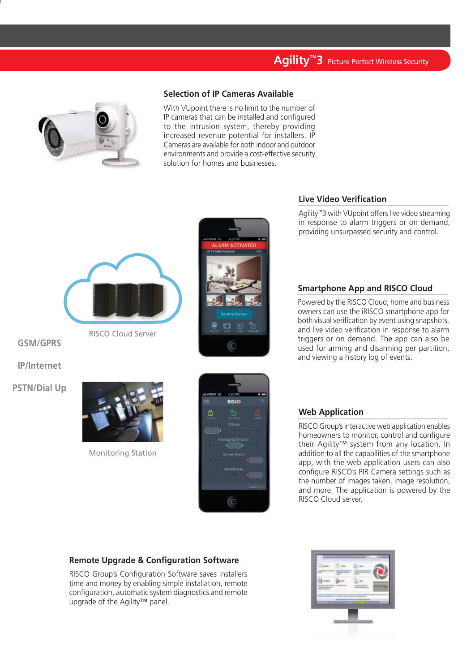# **Agility™3** Picture Perfect Wireless Security



## **Selection of IP Cameras Available**

With VUpoint there is no limit to the number of IP cameras that can be installed and configured to the intrusion system, thereby providing increased revenue potential for installers. IP Cameras are available for both indoor and outdoor environments and provide a cost-effective security solution for homes and businesses.



RISCO Cloud Server

**GSM/GPRS**

**IP/Internet**

**PSTN/Dial Up**



Monitoring Station





## **Live Video Verification**

Agility™3 with VUpoint offers live video streaming in response to alarm triggers or on demand, providing unsurpassed security and control.

## **Smartphone App and RISCO Cloud**

Powered by the RISCO Cloud, home and business owners can use the iRISCO smartphone app for both visual verification by event using snapshots, and live video verification in response to alarm triggers or on demand. The app can also be used for arming and disarming per partition, and viewing a history log of events.

#### **Web Application**

RISCO Group's interactive web application enables homeowners to monitor, control and configure their Agility™ system from any location. In addition to all the capabilities of the smartphone app, with the web application users can also configure RISCO's PIR Camera settings such as the number of images taken, image resolution, and more. The application is powered by the RISCO Cloud server.

## **Remote Upgrade & Configuration Software**

RISCO Group's Configuration Software saves installers time and money by enabling simple installation, remote configuration, automatic system diagnostics and remote upgrade of the Agility™ panel.

| --          |                                          |                                                                              | ٠ |  |
|-------------|------------------------------------------|------------------------------------------------------------------------------|---|--|
| ٠<br>۰<br>٠ |                                          | ----                                                                         |   |  |
|             | <b><i>STATISTICS IN THE ART</i></b><br>- | <b>ALCOHOL: NATION</b><br>$-1$                                               |   |  |
|             |                                          | <b>SAN TAY SHOW OF</b><br><b>CONTRACTOR</b>                                  |   |  |
|             |                                          | <b>STATISTICS</b><br><b><i>EMPARATORS &amp; TESTING &amp; SECURITIES</i></b> |   |  |
|             |                                          |                                                                              |   |  |